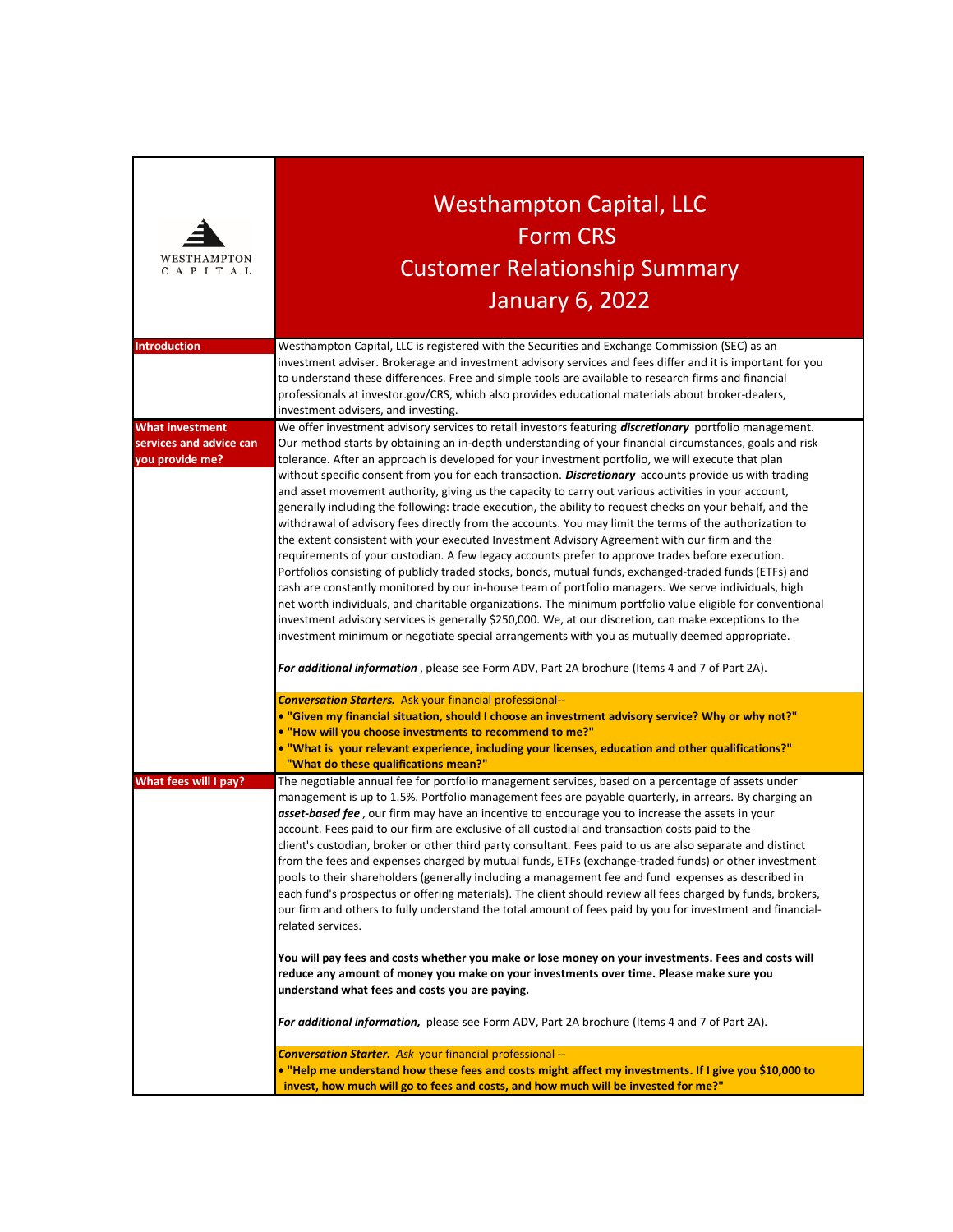| WESTHAMPTON<br>CAPITAL                                               | <b>Westhampton Capital, LLC</b><br><b>Form CRS</b><br><b>Customer Relationship Summary</b>                                                                                                                                                                                                                                                                                                                                                                                                                                                                                                                                                                                                                                                                                                                                                                                                                                                                                                                                                                                                                                                                                                                                                                                                                                                                                                                                                                                                                           |
|----------------------------------------------------------------------|----------------------------------------------------------------------------------------------------------------------------------------------------------------------------------------------------------------------------------------------------------------------------------------------------------------------------------------------------------------------------------------------------------------------------------------------------------------------------------------------------------------------------------------------------------------------------------------------------------------------------------------------------------------------------------------------------------------------------------------------------------------------------------------------------------------------------------------------------------------------------------------------------------------------------------------------------------------------------------------------------------------------------------------------------------------------------------------------------------------------------------------------------------------------------------------------------------------------------------------------------------------------------------------------------------------------------------------------------------------------------------------------------------------------------------------------------------------------------------------------------------------------|
|                                                                      | <b>January 6, 2022</b>                                                                                                                                                                                                                                                                                                                                                                                                                                                                                                                                                                                                                                                                                                                                                                                                                                                                                                                                                                                                                                                                                                                                                                                                                                                                                                                                                                                                                                                                                               |
| <b>Introduction</b>                                                  | Westhampton Capital, LLC is registered with the Securities and Exchange Commission (SEC) as an<br>investment adviser. Brokerage and investment advisory services and fees differ and it is important for you<br>to understand these differences. Free and simple tools are available to research firms and financial<br>professionals at investor.gov/CRS, which also provides educational materials about broker-dealers,<br>investment advisers, and investing.                                                                                                                                                                                                                                                                                                                                                                                                                                                                                                                                                                                                                                                                                                                                                                                                                                                                                                                                                                                                                                                    |
| <b>What investment</b><br>services and advice can<br>you provide me? | We offer investment advisory services to retail investors featuring discretionary portfolio management.<br>Our method starts by obtaining an in-depth understanding of your financial circumstances, goals and risk<br>tolerance. After an approach is developed for your investment portfolio, we will execute that plan<br>without specific consent from you for each transaction. Discretionary accounts provide us with trading<br>and asset movement authority, giving us the capacity to carry out various activities in your account,<br>generally including the following: trade execution, the ability to request checks on your behalf, and the<br>withdrawal of advisory fees directly from the accounts. You may limit the terms of the authorization to<br>the extent consistent with your executed Investment Advisory Agreement with our firm and the<br>requirements of your custodian. A few legacy accounts prefer to approve trades before execution.<br>Portfolios consisting of publicly traded stocks, bonds, mutual funds, exchanged-traded funds (ETFs) and<br>cash are constantly monitored by our in-house team of portfolio managers. We serve individuals, high<br>net worth individuals, and charitable organizations. The minimum portfolio value eligible for conventional<br>investment advisory services is generally \$250,000. We, at our discretion, can make exceptions to the<br>investment minimum or negotiate special arrangements with you as mutually deemed appropriate. |
|                                                                      | For additional information, please see Form ADV, Part 2A brochure (Items 4 and 7 of Part 2A).<br><b>Conversation Starters.</b> Ask your financial professional--<br>• "Given my financial situation, should I choose an investment advisory service? Why or why not?"<br>. "How will you choose investments to recommend to me?"                                                                                                                                                                                                                                                                                                                                                                                                                                                                                                                                                                                                                                                                                                                                                                                                                                                                                                                                                                                                                                                                                                                                                                                     |
| What fees will I pay?                                                | • "What is your relevant experience, including your licenses, education and other qualifications?"<br>"What do these qualifications mean?"<br>The negotiable annual fee for portfolio management services, based on a percentage of assets under<br>management is up to 1.5%. Portfolio management fees are payable quarterly, in arrears. By charging an<br>asset-based fee, our firm may have an incentive to encourage you to increase the assets in your<br>account. Fees paid to our firm are exclusive of all custodial and transaction costs paid to the<br>client's custodian, broker or other third party consultant. Fees paid to us are also separate and distinct<br>from the fees and expenses charged by mutual funds, ETFs (exchange-traded funds) or other investment<br>pools to their shareholders (generally including a management fee and fund expenses as described in<br>each fund's prospectus or offering materials). The client should review all fees charged by funds, brokers,<br>our firm and others to fully understand the total amount of fees paid by you for investment and financial-<br>related services.                                                                                                                                                                                                                                                                                                                                                                       |
|                                                                      | You will pay fees and costs whether you make or lose money on your investments. Fees and costs will<br>reduce any amount of money you make on your investments over time. Please make sure you<br>understand what fees and costs you are paying.<br>For additional information, please see Form ADV, Part 2A brochure (Items 4 and 7 of Part 2A).<br><b>Conversation Starter.</b> Ask your financial professional --                                                                                                                                                                                                                                                                                                                                                                                                                                                                                                                                                                                                                                                                                                                                                                                                                                                                                                                                                                                                                                                                                                 |
|                                                                      | . "Help me understand how these fees and costs might affect my investments. If I give you \$10,000 to<br>invest, how much will go to fees and costs, and how much will be invested for me?"                                                                                                                                                                                                                                                                                                                                                                                                                                                                                                                                                                                                                                                                                                                                                                                                                                                                                                                                                                                                                                                                                                                                                                                                                                                                                                                          |